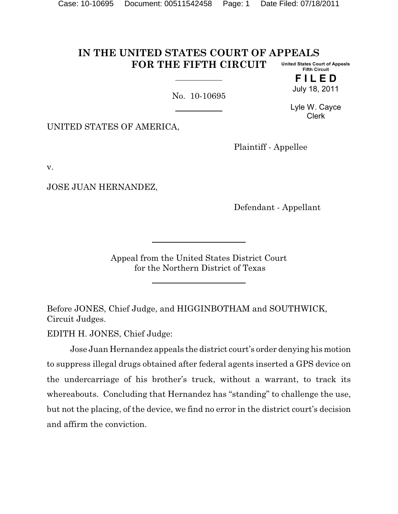#### **IN THE UNITED STATES COURT OF APPEALS FOR THE FIFTH CIRCUIT United States Court of Appeals Fifth Circuit**

No. 10-10695

Lyle W. Cayce Clerk

**F I L E D** July 18, 2011

UNITED STATES OF AMERICA,

Plaintiff - Appellee

v.

JOSE JUAN HERNANDEZ,

Defendant - Appellant

Appeal from the United States District Court for the Northern District of Texas

Before JONES, Chief Judge, and HIGGINBOTHAM and SOUTHWICK, Circuit Judges.

EDITH H. JONES, Chief Judge:

Jose Juan Hernandez appeals the district court's order denying his motion to suppress illegal drugs obtained after federal agents inserted a GPS device on the undercarriage of his brother's truck, without a warrant, to track its whereabouts. Concluding that Hernandez has "standing" to challenge the use, but not the placing, of the device, we find no error in the district court's decision and affirm the conviction.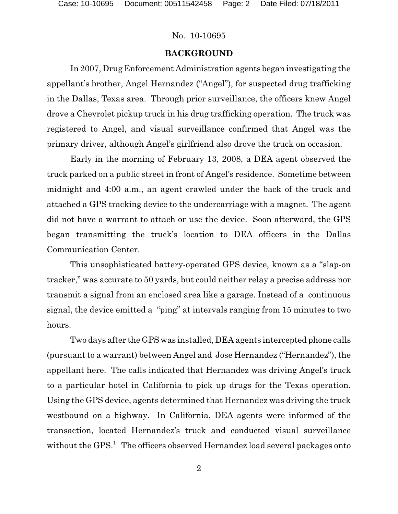#### **BACKGROUND**

In 2007, Drug Enforcement Administration agents began investigating the appellant's brother, Angel Hernandez ("Angel"), for suspected drug trafficking in the Dallas, Texas area. Through prior surveillance, the officers knew Angel drove a Chevrolet pickup truck in his drug trafficking operation. The truck was registered to Angel, and visual surveillance confirmed that Angel was the primary driver, although Angel's girlfriend also drove the truck on occasion.

Early in the morning of February 13, 2008, a DEA agent observed the truck parked on a public street in front of Angel's residence. Sometime between midnight and 4:00 a.m., an agent crawled under the back of the truck and attached a GPS tracking device to the undercarriage with a magnet. The agent did not have a warrant to attach or use the device. Soon afterward, the GPS began transmitting the truck's location to DEA officers in the Dallas Communication Center.

This unsophisticated battery-operated GPS device, known as a "slap-on tracker," was accurate to 50 yards, but could neither relay a precise address nor transmit a signal from an enclosed area like a garage. Instead of a continuous signal, the device emitted a "ping" at intervals ranging from 15 minutes to two hours.

Two days after the GPS was installed, DEA agents intercepted phone calls (pursuant to a warrant) between Angel and Jose Hernandez ("Hernandez"), the appellant here. The calls indicated that Hernandez was driving Angel's truck to a particular hotel in California to pick up drugs for the Texas operation. Using the GPS device, agents determined that Hernandez was driving the truck westbound on a highway. In California, DEA agents were informed of the transaction, located Hernandez's truck and conducted visual surveillance without the GPS.<sup>1</sup> The officers observed Hernandez load several packages onto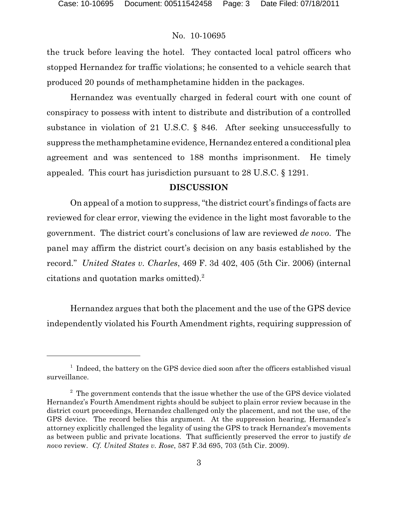the truck before leaving the hotel. They contacted local patrol officers who stopped Hernandez for traffic violations; he consented to a vehicle search that produced 20 pounds of methamphetamine hidden in the packages.

Hernandez was eventually charged in federal court with one count of conspiracy to possess with intent to distribute and distribution of a controlled substance in violation of 21 U.S.C. § 846. After seeking unsuccessfully to suppress the methamphetamine evidence, Hernandez entered a conditional plea agreement and was sentenced to 188 months imprisonment. He timely appealed. This court has jurisdiction pursuant to 28 U.S.C. § 1291.

## **DISCUSSION**

On appeal of a motion to suppress, "the district court's findings of facts are reviewed for clear error, viewing the evidence in the light most favorable to the government. The district court's conclusions of law are reviewed *de novo*. The panel may affirm the district court's decision on any basis established by the record." *United States v. Charles*, 469 F. 3d 402, 405 (5th Cir. 2006) (internal citations and quotation marks omitted).<sup>2</sup>

Hernandez argues that both the placement and the use of the GPS device independently violated his Fourth Amendment rights, requiring suppression of

 $1$  Indeed, the battery on the GPS device died soon after the officers established visual surveillance.

 $2^{\circ}$  The government contends that the issue whether the use of the GPS device violated Hernandez's Fourth Amendment rights should be subject to plain error review because in the district court proceedings, Hernandez challenged only the placement, and not the use, of the GPS device. The record belies this argument. At the suppression hearing, Hernandez's attorney explicitly challenged the legality of using the GPS to track Hernandez's movements as between public and private locations. That sufficiently preserved the error to justify *de novo* review. *Cf. United States v. Rose*, 587 F.3d 695, 703 (5th Cir. 2009).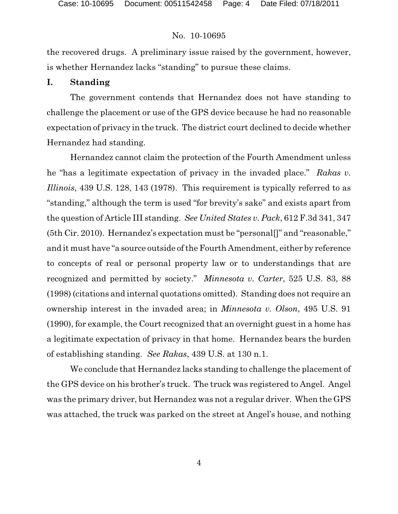the recovered drugs. A preliminary issue raised by the government, however, is whether Hernandez lacks "standing" to pursue these claims.

### **I. Standing**

The government contends that Hernandez does not have standing to challenge the placement or use of the GPS device because he had no reasonable expectation of privacy in the truck. The district court declined to decide whether Hernandez had standing.

Hernandez cannot claim the protection of the Fourth Amendment unless he "has a legitimate expectation of privacy in the invaded place." *Rakas v. Illinois*, 439 U.S. 128, 143 (1978). This requirement is typically referred to as "standing," although the term is used "for brevity's sake" and exists apart from the question of Article III standing. *See United States v. Pack*, 612 F.3d 341, 347 (5th Cir. 2010). Hernandez's expectation must be "personal[]" and "reasonable," and it must have "a source outside of the Fourth Amendment, either by reference to concepts of real or personal property law or to understandings that are recognized and permitted by society." *Minnesota v. Carter*, 525 U.S. 83, 88 (1998) (citations and internal quotations omitted). Standing does not require an ownership interest in the invaded area; in *Minnesota v. Olson*, 495 U.S. 91 (1990), for example, the Court recognized that an overnight guest in a home has a legitimate expectation of privacy in that home. Hernandez bears the burden of establishing standing. *See Rakas*, 439 U.S. at 130 n.1.

We conclude that Hernandez lacks standing to challenge the placement of the GPS device on his brother's truck. The truck was registered to Angel. Angel was the primary driver, but Hernandez was not a regular driver. When the GPS was attached, the truck was parked on the street at Angel's house, and nothing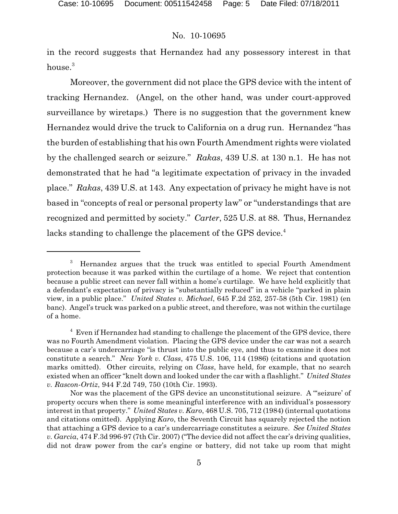in the record suggests that Hernandez had any possessory interest in that house.<sup>3</sup>

Moreover, the government did not place the GPS device with the intent of tracking Hernandez. (Angel, on the other hand, was under court-approved surveillance by wiretaps.) There is no suggestion that the government knew Hernandez would drive the truck to California on a drug run. Hernandez "has the burden of establishing that his own Fourth Amendment rights were violated by the challenged search or seizure." *Rakas*, 439 U.S. at 130 n.1. He has not demonstrated that he had "a legitimate expectation of privacy in the invaded place." *Rakas*, 439 U.S. at 143. Any expectation of privacy he might have is not based in "concepts of real or personal property law" or "understandings that are recognized and permitted by society." *Carter*, 525 U.S. at 88. Thus, Hernandez lacks standing to challenge the placement of the GPS device.<sup>4</sup>

 $3$  Hernandez argues that the truck was entitled to special Fourth Amendment protection because it was parked within the curtilage of a home. We reject that contention because a public street can never fall within a home's curtilage. We have held explicitly that a defendant's expectation of privacy is "substantially reduced" in a vehicle "parked in plain view, in a public place." *United States v. Michael*, 645 F.2d 252, 257-58 (5th Cir. 1981) (en banc). Angel's truck was parked on a public street, and therefore, was not within the curtilage of a home.

<sup>&</sup>lt;sup>4</sup> Even if Hernandez had standing to challenge the placement of the GPS device, there was no Fourth Amendment violation. Placing the GPS device under the car was not a search because a car's undercarriage "is thrust into the public eye, and thus to examine it does not constitute a search." *New York v. Class*, 475 U.S. 106, 114 (1986) (citations and quotation marks omitted). Other circuits, relying on *Class*, have held, for example, that no search existed when an officer "knelt down and looked under the car with a flashlight." *United States v. Rascon-Ortiz*, 944 F.2d 749, 750 (10th Cir. 1993).

Nor was the placement of the GPS device an unconstitutional seizure. A "'seizure' of property occurs when there is some meaningful interference with an individual's possessory interest in that property." *United States v. Karo*, 468 U.S. 705, 712 (1984) (internal quotations and citations omitted). Applying *Karo*, the Seventh Circuit has squarely rejected the notion that attaching a GPS device to a car's undercarriage constitutes a seizure. *See United States v. Garcia*, 474 F.3d 996-97 (7th Cir. 2007) ("The device did not affect the car's driving qualities, did not draw power from the car's engine or battery, did not take up room that might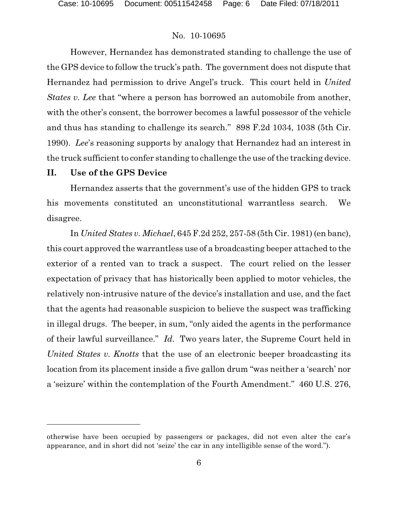However, Hernandez has demonstrated standing to challenge the use of the GPS device to follow the truck's path. The government does not dispute that Hernandez had permission to drive Angel's truck. This court held in *United States v. Lee* that "where a person has borrowed an automobile from another, with the other's consent, the borrower becomes a lawful possessor of the vehicle and thus has standing to challenge its search." 898 F.2d 1034, 1038 (5th Cir. 1990). *Lee*'s reasoning supports by analogy that Hernandez had an interest in the truck sufficient to confer standing to challenge the use of the tracking device.

## **II. Use of the GPS Device**

Hernandez asserts that the government's use of the hidden GPS to track his movements constituted an unconstitutional warrantless search. We disagree.

In *United States v. Michael*, 645 F.2d 252, 257-58 (5th Cir. 1981) (en banc), this court approved the warrantless use of a broadcasting beeper attached to the exterior of a rented van to track a suspect. The court relied on the lesser expectation of privacy that has historically been applied to motor vehicles, the relatively non-intrusive nature of the device's installation and use, and the fact that the agents had reasonable suspicion to believe the suspect was trafficking in illegal drugs. The beeper, in sum, "only aided the agents in the performance of their lawful surveillance." *Id*. Two years later, the Supreme Court held in *United States v. Knotts* that the use of an electronic beeper broadcasting its location from its placement inside a five gallon drum "was neither a 'search' nor a 'seizure' within the contemplation of the Fourth Amendment." 460 U.S. 276,

otherwise have been occupied by passengers or packages, did not even alter the car's appearance, and in short did not 'seize' the car in any intelligible sense of the word.").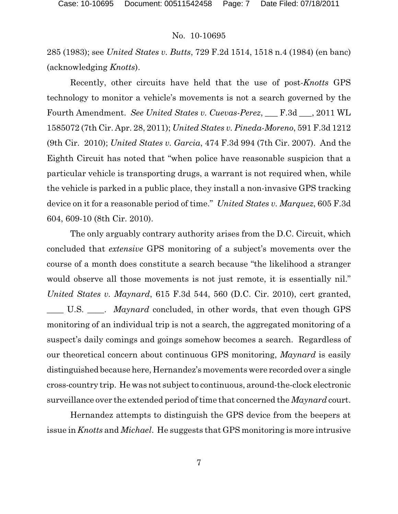285 (1983); see *United States v. Butts*, 729 F.2d 1514, 1518 n.4 (1984) (en banc) (acknowledging *Knotts*).

Recently, other circuits have held that the use of post-*Knotts* GPS technology to monitor a vehicle's movements is not a search governed by the Fourth Amendment. *See United States v. Cuevas-Perez*, \_\_\_ F.3d \_\_\_, 2011 WL 1585072 (7th Cir. Apr. 28, 2011); *United States v. Pineda-Moreno*, 591 F.3d 1212 (9th Cir. 2010); *United States v. Garcia*, 474 F.3d 994 (7th Cir. 2007). And the Eighth Circuit has noted that "when police have reasonable suspicion that a particular vehicle is transporting drugs, a warrant is not required when, while the vehicle is parked in a public place, they install a non-invasive GPS tracking device on it for a reasonable period of time." *United States v. Marquez*, 605 F.3d 604, 609-10 (8th Cir. 2010).

The only arguably contrary authority arises from the D.C. Circuit, which concluded that *extensive* GPS monitoring of a subject's movements over the course of a month does constitute a search because "the likelihood a stranger would observe all those movements is not just remote, it is essentially nil." *United States v. Maynard*, 615 F.3d 544, 560 (D.C. Cir. 2010), cert granted, \_\_\_\_ U.S. \_\_\_\_. *Maynard* concluded, in other words, that even though GPS monitoring of an individual trip is not a search, the aggregated monitoring of a suspect's daily comings and goings somehow becomes a search. Regardless of our theoretical concern about continuous GPS monitoring, *Maynard* is easily distinguished because here, Hernandez's movements were recorded over a single cross-country trip. He was not subject to continuous, around-the-clock electronic surveillance over the extended period of time that concerned the *Maynard* court.

Hernandez attempts to distinguish the GPS device from the beepers at issue in *Knotts* and *Michael*. He suggests that GPS monitoring is more intrusive